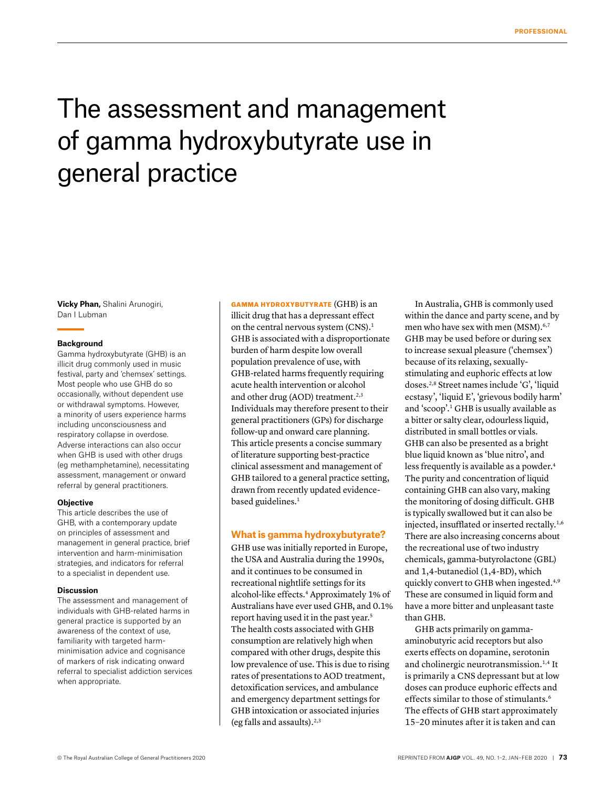# The assessment and management of gamma hydroxybutyrate use in general practice

**Vicky Phan,** Shalini Arunogiri, Dan I Lubman

#### **Background**

Gamma hydroxybutyrate (GHB) is an illicit drug commonly used in music festival, party and 'chemsex' settings. Most people who use GHB do so occasionally, without dependent use or withdrawal symptoms. However, a minority of users experience harms including unconsciousness and respiratory collapse in overdose. Adverse interactions can also occur when GHB is used with other drugs (eg methamphetamine), necessitating assessment, management or onward referral by general practitioners.

#### **Objective**

This article describes the use of GHB, with a contemporary update on principles of assessment and management in general practice, brief intervention and harm-minimisation strategies, and indicators for referral to a specialist in dependent use.

#### **Discussion**

The assessment and management of individuals with GHB-related harms in general practice is supported by an awareness of the context of use, familiarity with targeted harmminimisation advice and cognisance of markers of risk indicating onward referral to specialist addiction services when appropriate.

GAMMA HYDROXYBUTYRATE (GHB) is an illicit drug that has a depressant effect on the central nervous system (CNS).<sup>1</sup> GHB is associated with a disproportionate burden of harm despite low overall population prevalence of use, with GHB-related harms frequently requiring acute health intervention or alcohol and other drug (AOD) treatment.<sup>2,3</sup> Individuals may therefore present to their general practitioners (GPs) for discharge follow-up and onward care planning. This article presents a concise summary of literature supporting best-practice clinical assessment and management of GHB tailored to a general practice setting, drawn from recently updated evidencebased guidelines.<sup>1</sup>

#### **What is gamma hydroxybutyrate?**

GHB use was initially reported in Europe, the USA and Australia during the 1990s, and it continues to be consumed in recreational nightlife settings for its alcohol-like effects.4 Approximately 1% of Australians have ever used GHB, and 0.1% report having used it in the past year.5 The health costs associated with GHB consumption are relatively high when compared with other drugs, despite this low prevalence of use. This is due to rising rates of presentations to AOD treatment, detoxification services, and ambulance and emergency department settings for GHB intoxication or associated injuries (eg falls and assaults). $2,3$ 

In Australia, GHB is commonly used within the dance and party scene, and by men who have sex with men (MSM).<sup>6,7</sup> GHB may be used before or during sex to increase sexual pleasure ('chemsex') because of its relaxing, sexuallystimulating and euphoric effects at low doses.2,8 Street names include 'G', 'liquid ecstasy', 'liquid E', 'grievous bodily harm' and 'scoop'.1 GHB is usually available as a bitter or salty clear, odourless liquid, distributed in small bottles or vials. GHB can also be presented as a bright blue liquid known as 'blue nitro', and less frequently is available as a powder.<sup>4</sup> The purity and concentration of liquid containing GHB can also vary, making the monitoring of dosing difficult. GHB is typically swallowed but it can also be injected, insufflated or inserted rectally.1,6 There are also increasing concerns about the recreational use of two industry chemicals, gamma-butyrolactone (GBL) and 1,4-butanediol (1,4-BD), which quickly convert to GHB when ingested.4,9 These are consumed in liquid form and have a more bitter and unpleasant taste than GHB.

GHB acts primarily on gammaaminobutyric acid receptors but also exerts effects on dopamine, serotonin and cholinergic neurotransmission.1,4 It is primarily a CNS depressant but at low doses can produce euphoric effects and effects similar to those of stimulants.<sup>6</sup> The effects of GHB start approximately 15–20 minutes after it is taken and can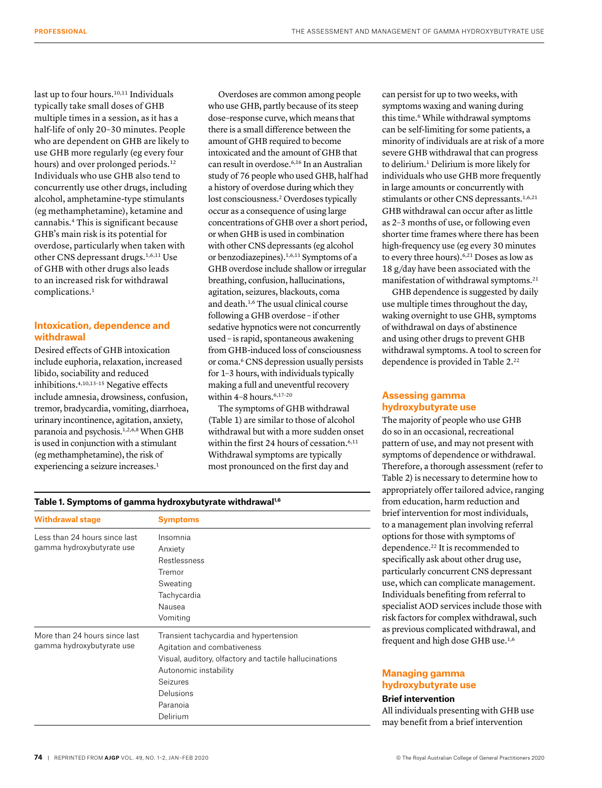last up to four hours.<sup>10,11</sup> Individuals typically take small doses of GHB multiple times in a session, as it has a half-life of only 20–30 minutes. People who are dependent on GHB are likely to use GHB more regularly (eg every four hours) and over prolonged periods.<sup>12</sup> Individuals who use GHB also tend to concurrently use other drugs, including alcohol, amphetamine-type stimulants (eg methamphetamine), ketamine and cannabis.4 This is significant because GHB's main risk is its potential for overdose, particularly when taken with other CNS depressant drugs.1,6,11 Use of GHB with other drugs also leads to an increased risk for withdrawal complications.1

# **Intoxication, dependence and withdrawal**

Desired effects of GHB intoxication include euphoria, relaxation, increased libido, sociability and reduced inhibitions.4,10,13–15 Negative effects include amnesia, drowsiness, confusion, tremor, bradycardia, vomiting, diarrhoea, urinary incontinence, agitation, anxiety, paranoia and psychosis.<sup>1,2,6,8</sup> When GHB is used in conjunction with a stimulant (eg methamphetamine), the risk of experiencing a seizure increases.<sup>1</sup>

Overdoses are common among people who use GHB, partly because of its steep dose–response curve, which means that there is a small difference between the amount of GHB required to become intoxicated and the amount of GHB that can result in overdose.6,16 In an Australian study of 76 people who used GHB, half had a history of overdose during which they lost consciousness.2 Overdoses typically occur as a consequence of using large concentrations of GHB over a short period, or when GHB is used in combination with other CNS depressants (eg alcohol or benzodiazepines).1,6,11 Symptoms of a GHB overdose include shallow or irregular breathing, confusion, hallucinations, agitation, seizures, blackouts, coma and death.1,6 The usual clinical course following a GHB overdose – if other sedative hypnotics were not concurrently used – is rapid, spontaneous awakening from GHB-induced loss of consciousness or coma.6 CNS depression usually persists for 1–3 hours, with individuals typically making a full and uneventful recovery within  $4-8$  hours.<sup>6,17-20</sup>

The symptoms of GHB withdrawal (Table 1) are similar to those of alcohol withdrawal but with a more sudden onset within the first 24 hours of cessation.<sup>6,11</sup> Withdrawal symptoms are typically most pronounced on the first day and

can persist for up to two weeks, with symptoms waxing and waning during this time.<sup>6</sup> While withdrawal symptoms can be self-limiting for some patients, a minority of individuals are at risk of a more severe GHB withdrawal that can progress to delirium.<sup>1</sup> Delirium is more likely for individuals who use GHB more frequently in large amounts or concurrently with stimulants or other CNS depressants.<sup>1,6,21</sup> GHB withdrawal can occur after as little as 2–3 months of use, or following even shorter time frames where there has been high-frequency use (eg every 30 minutes to every three hours).<sup>6,21</sup> Doses as low as 18 g/day have been associated with the manifestation of withdrawal symptoms.21

GHB dependence is suggested by daily use multiple times throughout the day, waking overnight to use GHB, symptoms of withdrawal on days of abstinence and using other drugs to prevent GHB withdrawal symptoms. A tool to screen for dependence is provided in Table 2.<sup>22</sup>

# **Assessing gamma hydroxybutyrate use**

The majority of people who use GHB do so in an occasional, recreational pattern of use, and may not present with symptoms of dependence or withdrawal. Therefore, a thorough assessment (refer to Table 2) is necessary to determine how to appropriately offer tailored advice, ranging from education, harm reduction and brief intervention for most individuals, to a management plan involving referral options for those with symptoms of dependence.<sup>22</sup> It is recommended to specifically ask about other drug use, particularly concurrent CNS depressant use, which can complicate management. Individuals benefiting from referral to specialist AOD services include those with risk factors for complex withdrawal, such as previous complicated withdrawal, and frequent and high dose GHB use.<sup>1,6</sup>

# **Managing gamma hydroxybutyrate use**

**Brief intervention**

All individuals presenting with GHB use may benefit from a brief intervention

## **Table 1. Symptoms of gamma hydroxybutyrate withdrawal1,6**

| <b>Withdrawal stage</b>                                    | <b>Symptoms</b>                                                                                                                                                                                           |
|------------------------------------------------------------|-----------------------------------------------------------------------------------------------------------------------------------------------------------------------------------------------------------|
| Less than 24 hours since last<br>gamma hydroxybutyrate use | Insomnia<br>Anxiety<br>Restlessness<br>Tremor<br>Sweating<br>Tachycardia<br>Nausea<br>Vomiting                                                                                                            |
| More than 24 hours since last<br>gamma hydroxybutyrate use | Transient tachycardia and hypertension<br>Agitation and combativeness<br>Visual, auditory, olfactory and tactile hallucinations<br>Autonomic instability<br>Seizures<br>Delusions<br>Paranoia<br>Delirium |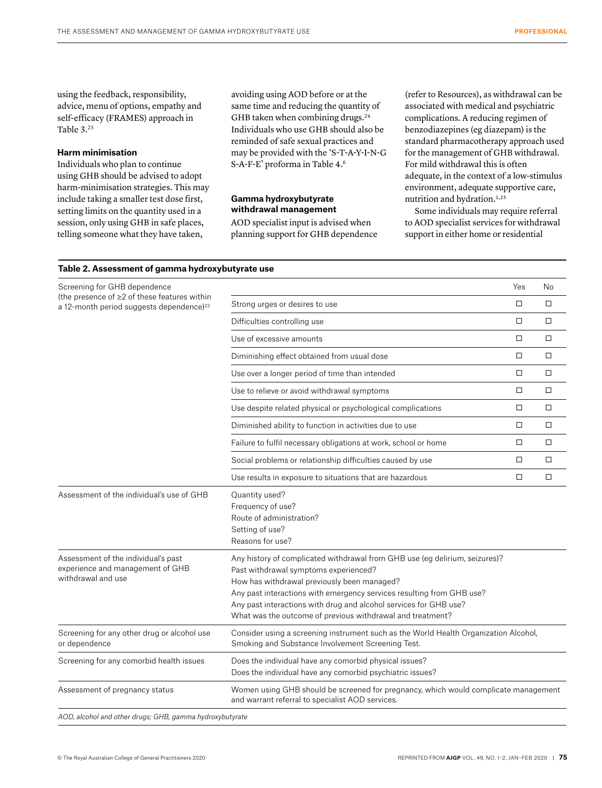using the feedback, responsibility, advice, menu of options, empathy and self-efficacy (FRAMES) approach in Table 3.23

## **Harm minimisation**

Individuals who plan to continue using GHB should be advised to adopt harm-minimisation strategies. This may include taking a smaller test dose first, setting limits on the quantity used in a session, only using GHB in safe places, telling someone what they have taken,

avoiding using AOD before or at the same time and reducing the quantity of GHB taken when combining drugs.<sup>24</sup> Individuals who use GHB should also be reminded of safe sexual practices and may be provided with the 'S-T-A-Y-I-N-G S-A-F-E' proforma in Table 4.6

## **Gamma hydroxybutyrate withdrawal management**

AOD specialist input is advised when planning support for GHB dependence (refer to Resources), as withdrawal can be associated with medical and psychiatric complications. A reducing regimen of benzodiazepines (eg diazepam) is the standard pharmacotherapy approach used for the management of GHB withdrawal. For mild withdrawal this is often adequate, in the context of a low-stimulus environment, adequate supportive care, nutrition and hydration.<sup>1,25</sup>

Some individuals may require referral to AOD specialist services for withdrawal support in either home or residential

#### **Table 2. Assessment of gamma hydroxybutyrate use**

| Screening for GHB dependence                                                                         |                                                                                                                                                                                                                                                                                                                                                                                 | Yes    | No     |
|------------------------------------------------------------------------------------------------------|---------------------------------------------------------------------------------------------------------------------------------------------------------------------------------------------------------------------------------------------------------------------------------------------------------------------------------------------------------------------------------|--------|--------|
| (the presence of ≥2 of these features within<br>a 12-month period suggests dependence) <sup>22</sup> | Strong urges or desires to use                                                                                                                                                                                                                                                                                                                                                  | □      | □      |
|                                                                                                      | Difficulties controlling use                                                                                                                                                                                                                                                                                                                                                    | $\Box$ | $\Box$ |
|                                                                                                      | Use of excessive amounts                                                                                                                                                                                                                                                                                                                                                        | $\Box$ | $\Box$ |
|                                                                                                      | Diminishing effect obtained from usual dose                                                                                                                                                                                                                                                                                                                                     | $\Box$ | $\Box$ |
|                                                                                                      | Use over a longer period of time than intended                                                                                                                                                                                                                                                                                                                                  | $\Box$ | $\Box$ |
|                                                                                                      | Use to relieve or avoid withdrawal symptoms                                                                                                                                                                                                                                                                                                                                     | $\Box$ | $\Box$ |
|                                                                                                      | Use despite related physical or psychological complications                                                                                                                                                                                                                                                                                                                     | $\Box$ | $\Box$ |
|                                                                                                      | Diminished ability to function in activities due to use                                                                                                                                                                                                                                                                                                                         | $\Box$ | $\Box$ |
|                                                                                                      | Failure to fulfil necessary obligations at work, school or home                                                                                                                                                                                                                                                                                                                 | $\Box$ | $\Box$ |
|                                                                                                      | Social problems or relationship difficulties caused by use                                                                                                                                                                                                                                                                                                                      | □      | □      |
|                                                                                                      | Use results in exposure to situations that are hazardous                                                                                                                                                                                                                                                                                                                        | $\Box$ | $\Box$ |
| Assessment of the individual's use of GHB                                                            | Quantity used?<br>Frequency of use?<br>Route of administration?<br>Setting of use?<br>Reasons for use?                                                                                                                                                                                                                                                                          |        |        |
| Assessment of the individual's past<br>experience and management of GHB<br>withdrawal and use        | Any history of complicated withdrawal from GHB use (eg delirium, seizures)?<br>Past withdrawal symptoms experienced?<br>How has withdrawal previously been managed?<br>Any past interactions with emergency services resulting from GHB use?<br>Any past interactions with drug and alcohol services for GHB use?<br>What was the outcome of previous withdrawal and treatment? |        |        |
| Screening for any other drug or alcohol use<br>or dependence                                         | Consider using a screening instrument such as the World Health Organization Alcohol,<br>Smoking and Substance Involvement Screening Test.                                                                                                                                                                                                                                       |        |        |
| Screening for any comorbid health issues                                                             | Does the individual have any comorbid physical issues?<br>Does the individual have any comorbid psychiatric issues?                                                                                                                                                                                                                                                             |        |        |
| Assessment of pregnancy status                                                                       | Women using GHB should be screened for pregnancy, which would complicate management<br>and warrant referral to specialist AOD services.                                                                                                                                                                                                                                         |        |        |
| AOD, alcohol and other drugs; GHB, gamma hydroxybutyrate                                             |                                                                                                                                                                                                                                                                                                                                                                                 |        |        |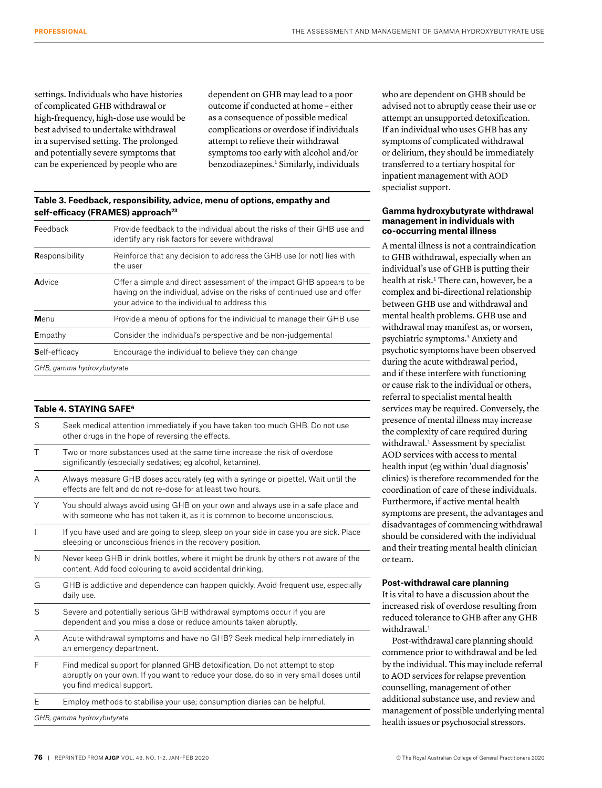settings. Individuals who have histories of complicated GHB withdrawal or high-frequency, high-dose use would be best advised to undertake withdrawal in a supervised setting. The prolonged and potentially severe symptoms that can be experienced by people who are

dependent on GHB may lead to a poor outcome if conducted at home – either as a consequence of possible medical complications or overdose if individuals attempt to relieve their withdrawal symptoms too early with alcohol and/or benzodiazepines.1 Similarly, individuals

## **Table 3. Feedback, responsibility, advice, menu of options, empathy and**  self-efficacy (FRAMES) approach<sup>23</sup>

| <b>F</b> eedback           | Provide feedback to the individual about the risks of their GHB use and<br>identify any risk factors for severe withdrawal                                                                        |
|----------------------------|---------------------------------------------------------------------------------------------------------------------------------------------------------------------------------------------------|
| Responsibility             | Reinforce that any decision to address the GHB use (or not) lies with<br>the user                                                                                                                 |
| Advice                     | Offer a simple and direct assessment of the impact GHB appears to be<br>having on the individual, advise on the risks of continued use and offer<br>your advice to the individual to address this |
| Menu                       | Provide a menu of options for the individual to manage their GHB use                                                                                                                              |
| Empathy                    | Consider the individual's perspective and be non-judgemental                                                                                                                                      |
| Self-efficacy              | Encourage the individual to believe they can change                                                                                                                                               |
| GHB, gamma hydroxybutyrate |                                                                                                                                                                                                   |

## **Table 4. STAYING SAFE6**

| S      | Seek medical attention immediately if you have taken too much GHB. Do not use<br>other drugs in the hope of reversing the effects.                                                                 |
|--------|----------------------------------------------------------------------------------------------------------------------------------------------------------------------------------------------------|
| $\top$ | Two or more substances used at the same time increase the risk of overdose<br>significantly (especially sedatives; eg alcohol, ketamine).                                                          |
| A      | Always measure GHB doses accurately (eq with a syringe or pipette). Wait until the<br>effects are felt and do not re-dose for at least two hours.                                                  |
| Υ      | You should always avoid using GHB on your own and always use in a safe place and<br>with someone who has not taken it, as it is common to become unconscious.                                      |
|        | If you have used and are going to sleep, sleep on your side in case you are sick. Place<br>sleeping or unconscious friends in the recovery position.                                               |
| N      | Never keep GHB in drink bottles, where it might be drunk by others not aware of the<br>content. Add food colouring to avoid accidental drinking.                                                   |
| G      | GHB is addictive and dependence can happen quickly. Avoid frequent use, especially<br>daily use.                                                                                                   |
| S      | Severe and potentially serious GHB withdrawal symptoms occur if you are<br>dependent and you miss a dose or reduce amounts taken abruptly.                                                         |
| A      | Acute withdrawal symptoms and have no GHB? Seek medical help immediately in<br>an emergency department.                                                                                            |
| F      | Find medical support for planned GHB detoxification. Do not attempt to stop<br>abruptly on your own. If you want to reduce your dose, do so in very small doses until<br>you find medical support. |
| F      | Employ methods to stabilise your use; consumption diaries can be helpful.                                                                                                                          |
|        | GHB, gamma hydroxybutyrate                                                                                                                                                                         |

who are dependent on GHB should be advised not to abruptly cease their use or attempt an unsupported detoxification. If an individual who uses GHB has any symptoms of complicated withdrawal or delirium, they should be immediately transferred to a tertiary hospital for inpatient management with AOD specialist support.

## **Gamma hydroxybutyrate withdrawal management in individuals with co-occurring mental illness**

A mental illness is not a contraindication to GHB withdrawal, especially when an individual's use of GHB is putting their health at risk.<sup>1</sup> There can, however, be a complex and bi-directional relationship between GHB use and withdrawal and mental health problems. GHB use and withdrawal may manifest as, or worsen, psychiatric symptoms.3 Anxiety and psychotic symptoms have been observed during the acute withdrawal period, and if these interfere with functioning or cause risk to the individual or others, referral to specialist mental health services may be required. Conversely, the presence of mental illness may increase the complexity of care required during withdrawal.<sup>1</sup> Assessment by specialist AOD services with access to mental health input (eg within 'dual diagnosis' clinics) is therefore recommended for the coordination of care of these individuals. Furthermore, if active mental health symptoms are present, the advantages and disadvantages of commencing withdrawal should be considered with the individual and their treating mental health clinician or team.

## **Post-withdrawal care planning**

It is vital to have a discussion about the increased risk of overdose resulting from reduced tolerance to GHB after any GHB withdrawal.<sup>1</sup>

Post-withdrawal care planning should commence prior to withdrawal and be led by the individual. This may include referral to AOD services for relapse prevention counselling, management of other additional substance use, and review and management of possible underlying mental health issues or psychosocial stressors.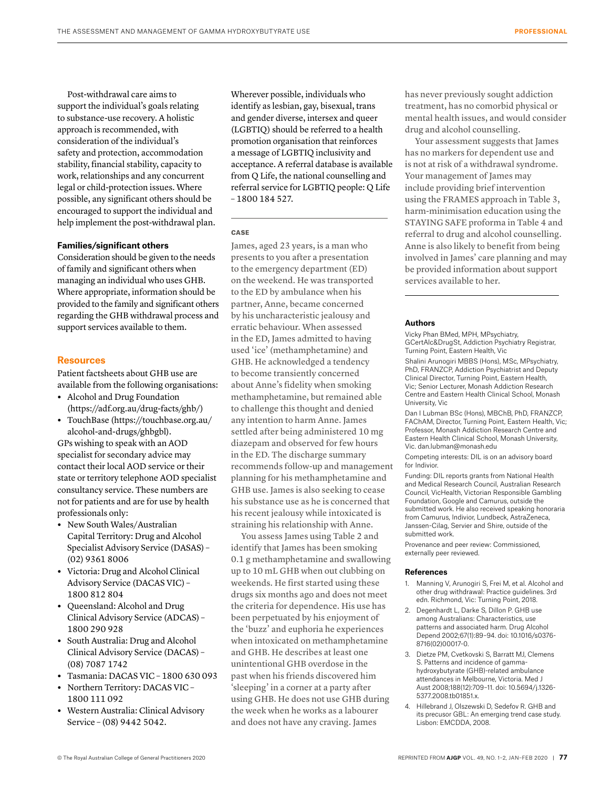Post-withdrawal care aims to support the individual's goals relating to substance-use recovery. A holistic approach is recommended, with consideration of the individual's safety and protection, accommodation stability, financial stability, capacity to work, relationships and any concurrent legal or child-protection issues. Where possible, any significant others should be encouraged to support the individual and help implement the post-withdrawal plan.

## **Families/significant others**

Consideration should be given to the needs of family and significant others when managing an individual who uses GHB. Where appropriate, information should be provided to the family and significant others regarding the GHB withdrawal process and support services available to them.

## **Resources**

Patient factsheets about GHB use are available from the following organisations:

- **•** Alcohol and Drug Foundation (https://adf.org.au/drug-facts/ghb/)
- **•** TouchBase (https://touchbase.org.au/ alcohol-and-drugs/ghbgbl).

GPs wishing to speak with an AOD specialist for secondary advice may contact their local AOD service or their state or territory telephone AOD specialist consultancy service. These numbers are not for patients and are for use by health professionals only:

- **•** New South Wales/Australian Capital Territory: Drug and Alcohol Specialist Advisory Service (DASAS) – (02) 9361 8006
- **•** Victoria: Drug and Alcohol Clinical Advisory Service (DACAS VIC) – 1800 812 804
- **•** Queensland: Alcohol and Drug Clinical Advisory Service (ADCAS) – 1800 290 928
- **•** South Australia: Drug and Alcohol Clinical Advisory Service (DACAS) – (08) 7087 1742
- **•** Tasmania: DACAS VIC 1800 630 093
- **•** Northern Territory: DACAS VIC 1800 111 092
- **•** Western Australia: Clinical Advisory Service – (08) 9442 5042.

Wherever possible, individuals who identify as lesbian, gay, bisexual, trans and gender diverse, intersex and queer (LGBTIQ) should be referred to a health promotion organisation that reinforces a message of LGBTIQ inclusivity and acceptance. A referral database is available from Q Life, the national counselling and referral service for LGBTIQ people: Q Life – 1800 184 527.

## **CASE**

James, aged 23 years, is a man who presents to you after a presentation to the emergency department (ED) on the weekend. He was transported to the ED by ambulance when his partner, Anne, became concerned by his uncharacteristic jealousy and erratic behaviour. When assessed in the ED, James admitted to having used 'ice' (methamphetamine) and GHB. He acknowledged a tendency to become transiently concerned about Anne's fidelity when smoking methamphetamine, but remained able to challenge this thought and denied any intention to harm Anne. James settled after being administered 10 mg diazepam and observed for few hours in the ED. The discharge summary recommends follow-up and management planning for his methamphetamine and GHB use. James is also seeking to cease his substance use as he is concerned that his recent jealousy while intoxicated is straining his relationship with Anne.

You assess James using Table 2 and identify that James has been smoking 0.1 g methamphetamine and swallowing up to 10 mL GHB when out clubbing on weekends. He first started using these drugs six months ago and does not meet the criteria for dependence. His use has been perpetuated by his enjoyment of the 'buzz' and euphoria he experiences when intoxicated on methamphetamine and GHB. He describes at least one unintentional GHB overdose in the past when his friends discovered him 'sleeping' in a corner at a party after using GHB. He does not use GHB during the week when he works as a labourer and does not have any craving. James

has never previously sought addiction treatment, has no comorbid physical or mental health issues, and would consider drug and alcohol counselling.

Your assessment suggests that James has no markers for dependent use and is not at risk of a withdrawal syndrome. Your management of James may include providing brief intervention using the FRAMES approach in Table 3, harm-minimisation education using the STAYING SAFE proforma in Table 4 and referral to drug and alcohol counselling. Anne is also likely to benefit from being involved in James' care planning and may be provided information about support services available to her.

#### **Authors**

Vicky Phan BMed, MPH, MPsychiatry, GCertAlc&DrugSt, Addiction Psychiatry Registrar, Turning Point, Eastern Health, Vic

Shalini Arunogiri MBBS (Hons), MSc, MPsychiatry, PhD, FRANZCP, Addiction Psychiatrist and Deputy Clinical Director, Turning Point, Eastern Health, Vic; Senior Lecturer, Monash Addiction Research Centre and Eastern Health Clinical School, Monash University, Vic

Dan I Lubman BSc (Hons), MBChB, PhD, FRANZCP, FAChAM, Director, Turning Point, Eastern Health, Vic; Professor, Monash Addiction Research Centre and Eastern Health Clinical School, Monash University, Vic. dan.lubman@monash.edu

Competing interests: DIL is on an advisory board for Indivior.

Funding: DIL reports grants from National Health and Medical Research Council, Australian Research Council, VicHealth, Victorian Responsible Gambling Foundation, Google and Camurus, outside the submitted work. He also received speaking honoraria from Camurus, Indivior, Lundbeck, AstraZeneca, Janssen-Cilag, Servier and Shire, outside of the submitted work.

Provenance and peer review: Commissioned, externally peer reviewed.

#### **References**

- 1. Manning V, Arunogiri S, Frei M, et al. Alcohol and other drug withdrawal: Practice guidelines. 3rd edn. Richmond, Vic: Turning Point, 2018.
- 2. Degenhardt L, Darke S, Dillon P. GHB use among Australians: Characteristics, use patterns and associated harm. Drug Alcohol Depend 2002;67(1):89–94. doi: 10.1016/s0376- 8716(02)00017-0.
- 3. Dietze PM, Cvetkovski S, Barratt MJ, Clemens S. Patterns and incidence of gammahydroxybutyrate (GHB)-related ambulance attendances in Melbourne, Victoria. Med J Aust 2008;188(12):709–11. doi: 10.5694/j.1326- 5377.2008.tb01851.x.
- 4. Hillebrand J, Olszewski D, Sedefov R. GHB and its precusor GBL: An emerging trend case study. Lisbon: EMCDDA, 2008.